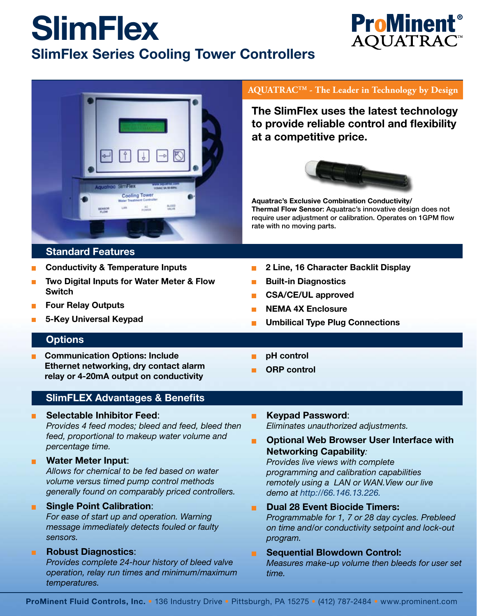# **SlimFlex SlimFlex Series Cooling Tower Controllers**



## **Standard Features**

- **Conductivity & Temperature Inputs**
- **Two Digital Inputs for Water Meter & Flow Switch**
- **Four Relay Outputs**
- **5-Key Universal Keypad**

## **AQUATRACTM - The Leader in Technology by Design**

**The SlimFlex uses the latest technology to provide reliable control and flexibility at a competitive price.**



**Aquatrac's Exclusive Combination Conductivity/ Thermal Flow Sensor**: Aquatrac's innovative design does not require user adjustment or calibration. Operates on 1GPM flow rate with no moving parts.

**Built-in Diagnostics**

**2 Line, 16 Character Backlit Display**

- **CSA/CE/UL approved**
- **NEMA 4X Enclosure**
- **Umbilical Type Plug Connections**

## **Options**

- **Communication Options: Include Ethernet networking, dry contact alarm relay or 4-20mA output on conductivity**
- **pH control**

 $\blacksquare$ 

**ORP control**

## **SlimFLEX Advantages & Benefits**

**Selectable Inhibitor Feed**:

*Provides 4 feed modes; bleed and feed, bleed then feed, proportional to makeup water volume and percentage time.*

#### **Water Meter Input**:  $\blacksquare$

*Allows for chemical to be fed based on water volume versus timed pump control methods generally found on comparably priced controllers.*

## **Single Point Calibration**:

*For ease of start up and operation. Warning message immediately detects fouled or faulty sensors.*

## **Robust Diagnostics**:

*Provides complete 24-hour history of bleed valve operation, relay run times and minimum/maximum temperatures.*

- **Keypad Password**:  $\blacksquare$ *Eliminates unauthorized adjustments.*
- $\blacksquare$ **Optional Web Browser User Interface with Networking Capability***:*

*Provides live views with complete programming and calibration capabilities remotely using a LAN or WAN.View our live demo at http://66.146.13.226.*

- **Dual 28 Event Biocide Timers:** m. *Programmable for 1, 7 or 28 day cycles. Prebleed on time and/or conductivity setpoint and lock-out program.*
- **Sequential Blowdown Control:** ٠ *Measures make-up volume then bleeds for user set time.*